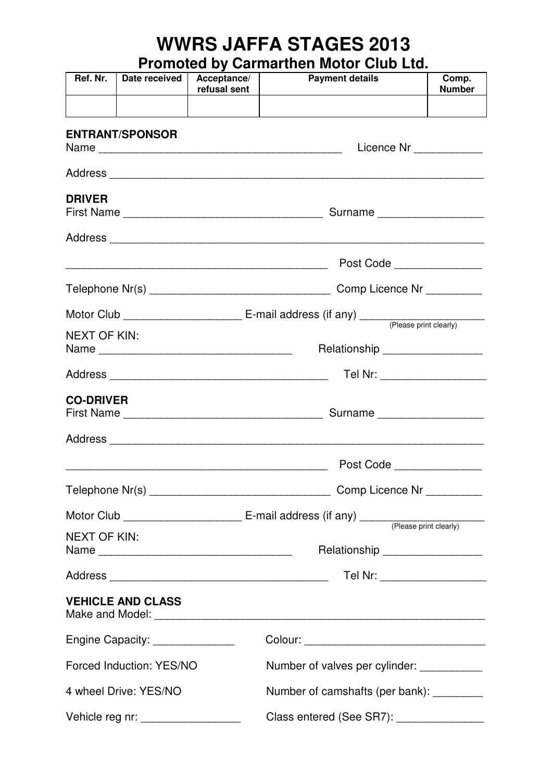## **WWRS JAFFA STAGES 2013**

**Promoted by Carmarthen Motor Club Ltd.**

| Ref. Nr.            | Date received                                                      | Acceptance/<br>refusal sent | <b>Payment details</b>                     | Comp.<br><b>Number</b> |  |  |  |  |
|---------------------|--------------------------------------------------------------------|-----------------------------|--------------------------------------------|------------------------|--|--|--|--|
|                     | <b>ENTRANT/SPONSOR</b>                                             |                             | Licence Nr ____________                    |                        |  |  |  |  |
|                     |                                                                    |                             |                                            |                        |  |  |  |  |
| <b>DRIVER</b>       |                                                                    |                             | Surname                                    |                        |  |  |  |  |
|                     |                                                                    |                             |                                            |                        |  |  |  |  |
|                     |                                                                    |                             |                                            |                        |  |  |  |  |
|                     |                                                                    |                             | Comp Licence Nr _________                  |                        |  |  |  |  |
|                     |                                                                    |                             |                                            |                        |  |  |  |  |
| <b>NEXT OF KIN:</b> |                                                                    |                             | Relationship __________________            |                        |  |  |  |  |
|                     |                                                                    |                             | Tel Nr: ____________________               |                        |  |  |  |  |
| <b>CO-DRIVER</b>    |                                                                    |                             | Surname                                    |                        |  |  |  |  |
|                     |                                                                    |                             |                                            |                        |  |  |  |  |
|                     |                                                                    |                             | Post Code                                  |                        |  |  |  |  |
|                     |                                                                    |                             | Comp Licence Nr _________                  |                        |  |  |  |  |
|                     |                                                                    |                             |                                            |                        |  |  |  |  |
| <b>NEXT OF KIN:</b> |                                                                    |                             | Relationship __________________            |                        |  |  |  |  |
|                     |                                                                    |                             | Tel Nr: ___________________                |                        |  |  |  |  |
|                     | <b>VEHICLE AND CLASS</b>                                           |                             |                                            |                        |  |  |  |  |
|                     | Engine Capacity: ______________                                    |                             |                                            |                        |  |  |  |  |
|                     | Forced Induction: YES/NO                                           |                             | Number of valves per cylinder: ___________ |                        |  |  |  |  |
|                     | Number of camshafts (per bank): _________<br>4 wheel Drive: YES/NO |                             |                                            |                        |  |  |  |  |
|                     | Vehicle reg nr: ___________________                                |                             | Class entered (See SR7): _______________   |                        |  |  |  |  |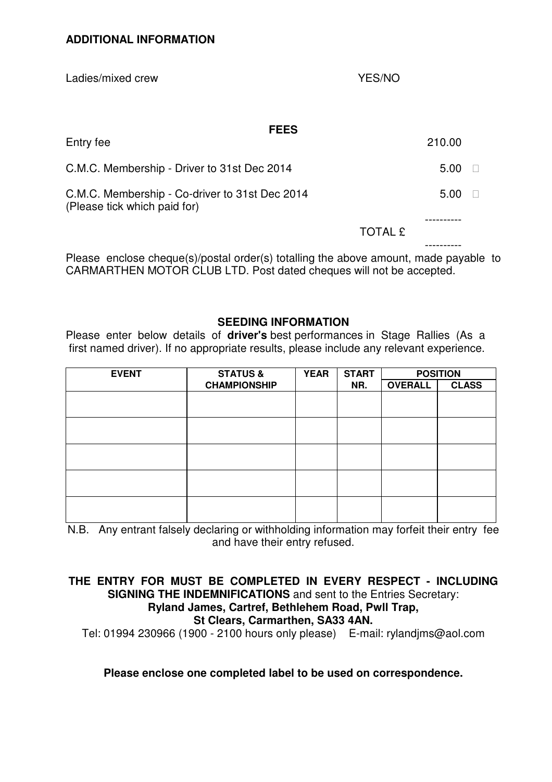Ladies/mixed crew YES/NO **FEES**  Entry fee 210.00 C.M.C. Membership - Driver to 31st Dec 2014 5.00 C.M.C. Membership - Co-driver to 31st Dec 2014 (Please tick which paid for) 5.00 ---------- TOTAL £ ----------

Please enclose cheque(s)/postal order(s) totalling the above amount, made payable to CARMARTHEN MOTOR CLUB LTD. Post dated cheques will not be accepted.

## **SEEDING INFORMATION**

Please enter below details of **driver's** best performances in Stage Rallies (As a first named driver). If no appropriate results, please include any relevant experience.

| <b>EVENT</b> | <b>STATUS &amp;</b> | <b>YEAR</b> | <b>START</b><br>NR. | <b>POSITION</b> |              |
|--------------|---------------------|-------------|---------------------|-----------------|--------------|
|              | <b>CHAMPIONSHIP</b> |             |                     | <b>OVERALL</b>  | <b>CLASS</b> |
|              |                     |             |                     |                 |              |
|              |                     |             |                     |                 |              |
|              |                     |             |                     |                 |              |
|              |                     |             |                     |                 |              |
|              |                     |             |                     |                 |              |
|              |                     |             |                     |                 |              |
|              |                     |             |                     |                 |              |
|              |                     |             |                     |                 |              |
|              |                     |             |                     |                 |              |
|              |                     |             |                     |                 |              |

N.B. Any entrant falsely declaring or withholding information may forfeit their entry fee and have their entry refused.

**THE ENTRY FOR MUST BE COMPLETED IN EVERY RESPECT - INCLUDING SIGNING THE INDEMNIFICATIONS** and sent to the Entries Secretary: **Ryland James, Cartref, Bethlehem Road, Pwll Trap, St Clears, Carmarthen, SA33 4AN.** 

Tel: 01994 230966 (1900 - 2100 hours only please) E-mail: rylandjms@aol.com

**Please enclose one completed label to be used on correspondence.**